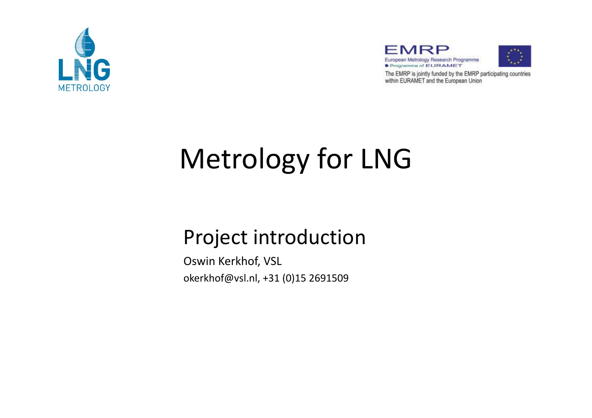





The EMRP is jointly funded by the EMRP participating countries within EURAMET and the European Union

# Metrology for LNG

### Project introduction

Oswin Kerkhof, VSL okerkhof@vsl.nl, +31 (0)15 2691509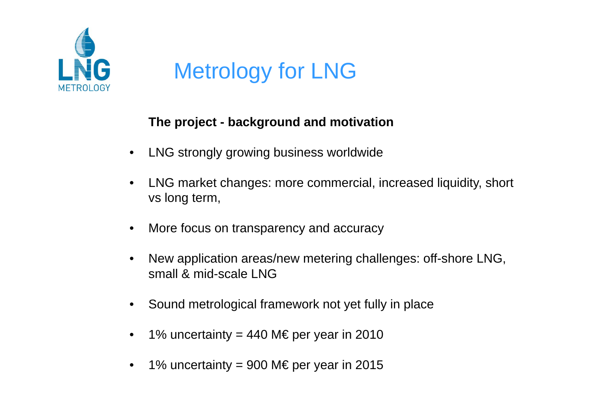

# Metrology for LNG

#### **The project - background and motivation**

- $\bullet$ LNG strongly growing business worldwide
- • LNG market changes: more commercial, increased liquidity, short vs long term,
- $\bullet$ More focus on transparency and accuracy
- •New application areas/new metering challenges: off-shore LNG, small & mid-scale LNG
- •Sound metrological framework not yet fully in place
- •1% uncertainty = 440 M€ per year in 2010
- •1% uncertainty = 900 M€ per year in 2015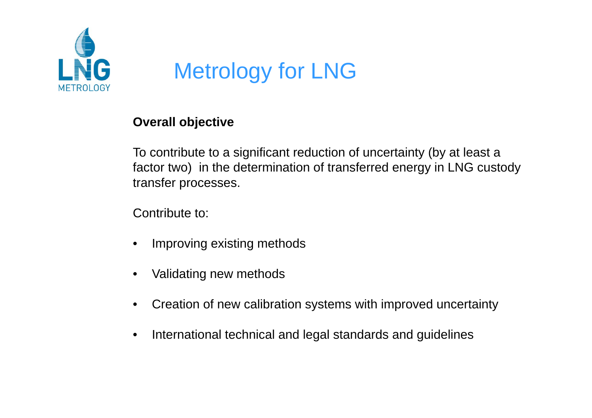

### Metrology for LNG

#### **Overall objective**

To contribute to a significant reduction of uncertainty (by at least a factor two) in the determination of transferred energy in LNG custody transfer processes.

Contribute to:

- $\bullet$ Improving existing methods
- •Validating new methods
- •Creation of new calibration systems with improved uncertainty
- $\bullet$ International technical and legal standards and guidelines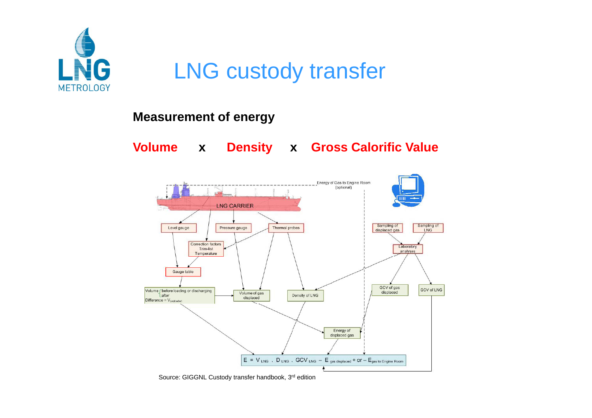

### LNG custody transfer

#### **M tf Measuremen t o f energy**

**Volume x Density x Gross Calorific Value**



Source: GIGGNL Custody transfer handbook, 3rd edition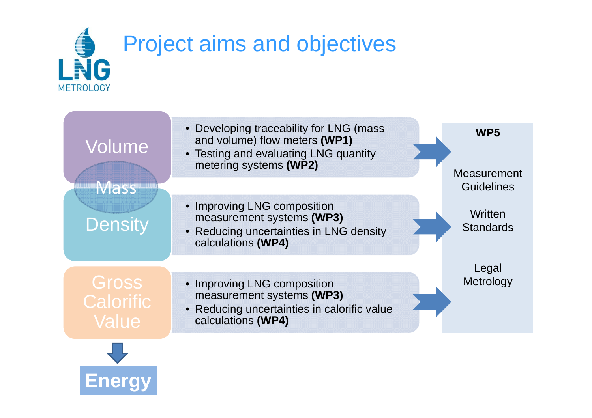

| Volume                             | • Developing traceability for LNG (mass<br>and volume) flow meters (WP1)<br>• Testing and evaluating LNG quantity<br>metering systems (WP2) | WP <sub>5</sub><br><b>Measurement</b> |
|------------------------------------|---------------------------------------------------------------------------------------------------------------------------------------------|---------------------------------------|
| <b>Mass</b>                        |                                                                                                                                             | <b>Guidelines</b>                     |
| <b>Density</b>                     | • Improving LNG composition<br>measurement systems (WP3)<br>• Reducing uncertainties in LNG density<br>calculations (WP4)                   | Written<br><b>Standards</b>           |
|                                    |                                                                                                                                             | Legal                                 |
| Gross<br><b>Calorific</b><br>Value | • Improving LNG composition<br>measurement systems (WP3)<br>• Reducing uncertainties in calorific value<br>calculations (WP4)               | Metrology                             |
|                                    |                                                                                                                                             |                                       |

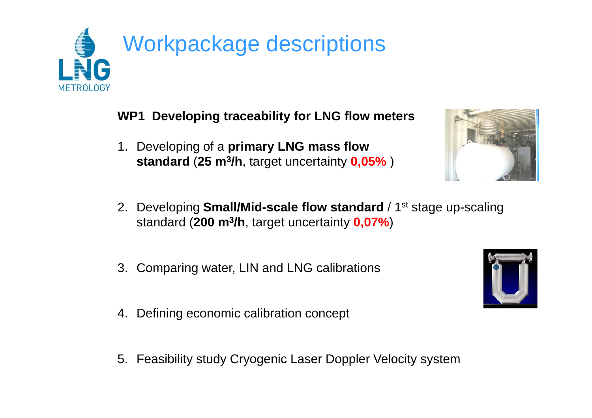

**WP1 Developing traceability for LNG flow meters**

1. Developing of a **primary LNG mass flow standard** (**25 <sup>m</sup> 3 /h** target uncertainty **0 05%** ) **3/h**, uncertainty **0,05%**



- 3. Comparing water, LIN and LNG calibrations
- 4. Defining economic calibration concept
- 5. Feasibility study Cryogenic Laser Doppler Velocity system



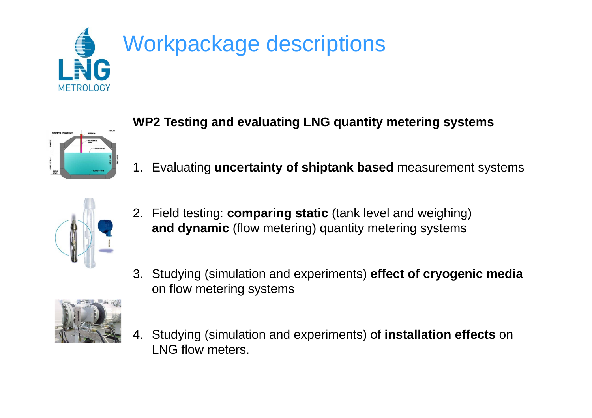



#### **WP2 Testing and evaluating LNG quantity metering systems**

1. Evaluating **uncertainty of shiptank based** measurement systems



- 2. Field testing: comparing static (tank level and weighing) **and dynamic** (flow metering) quantity metering systems
- 3. Studying (simulation and experiments) **effect of cryogenic media**  on flow metering systems



4. Studying (simulation and experiments) of **installation effects** on LNG flow meters.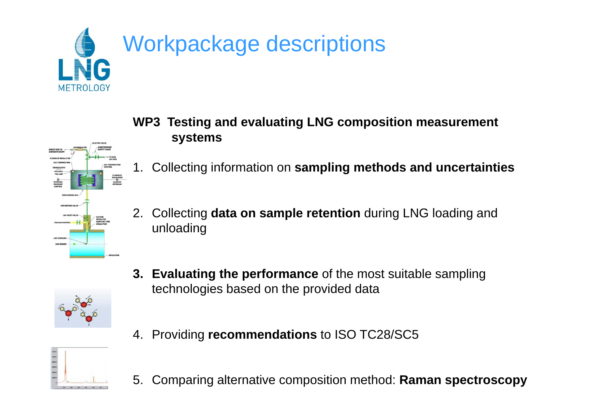



- **WP3 Testing and evaluating LNG composition measurement systems**
- 1. Collecting information on **sampling methods and uncertainties**
- 2. Collecting **data on sample retention** during LNG loading and unloading



- **3. Evaluating the performance** of the most suitable sampling technologies based on the provided data
- 4. Providing **recommendations** to ISO TC28/SC5



5. Comparing alternative composition method: **Raman spectroscopy**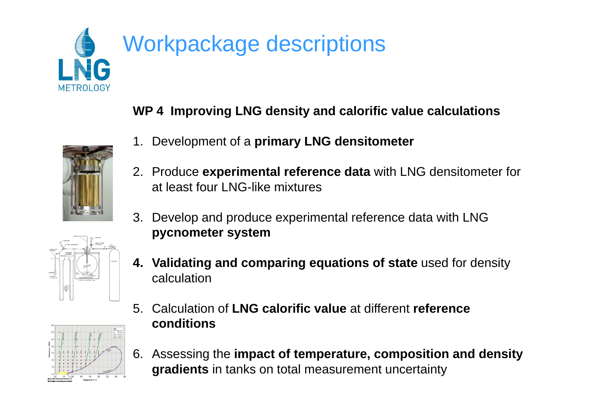

**WP 4 Improving LNG density and calorific value calculations and**

- 1. Development of a **primary LNG densitometer**
- 2. Produce **experimental reference data** with LNG densitometer for at least four LNG-like mixtures
- 3. Develop and produce experimental reference data with LNG **pycnometer system**
- **4. Validating and comparing equations of state** used for density calculation
- 5. Cl l i f Calculation of**LNG l ifi l NG calorific value** at different **reference conditions**
- 6. Assessing the **impact of temperature, composition and density gradients** in tanks on total measurement uncertainty





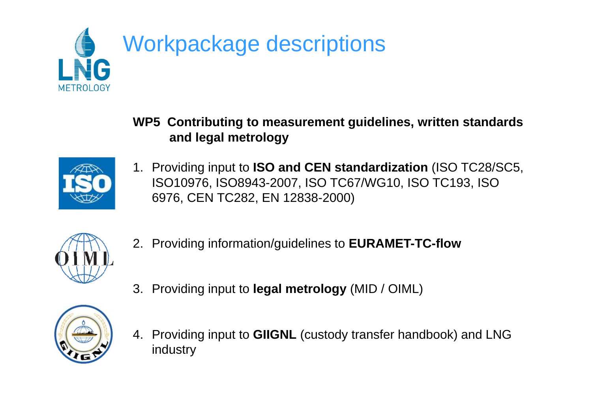

**WP5 Contributing to measurement guidelines, written standards and legal metrology**



1. Providing input to **ISO and CEN standardization** (ISO TC28/SC5, ISO10976, ISO8943-2007, ISO TC67/WG10, ISO TC193, ISO 6976, CEN TC282, EN 12838-2000)



2. Providing information/guidelines to **EURAMET-TC-flow**



- 3. Providing input to **legal metrology** (MID / OIML)
- 4. Providing input to **GIIGNL** (custody transfer handbook) and LNG industry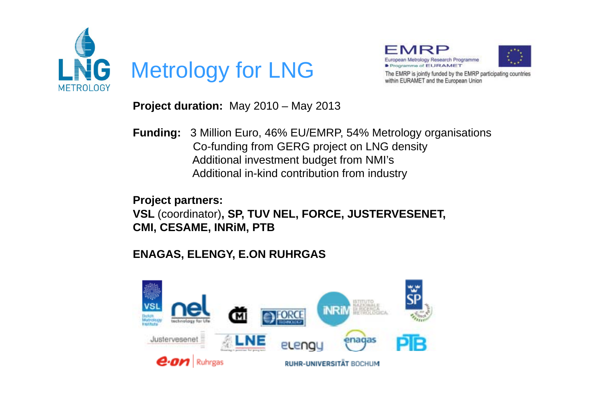



The EMRP is jointly funded by the EMRP participating countries within EURAMET and the European Union

**Project duration:** May 2010 – May 2013

**Funding:** 3 Million Euro, 46% EU/EMRP, 54% Metrology organisations Co-funding from GERG project on LNG density Additional investment budget from NMI's Additional in-kind contribution from industry

**Project partners:** 

**VSL** (coordinator)**, SP, TUV NEL, FORCE, JUSTERVESENET, CMI, CESAME, INRiM, PTB**

#### **ENAGAS ELENGY E ON RUHRGAS ENAGAS, ELENGY, E.ON**

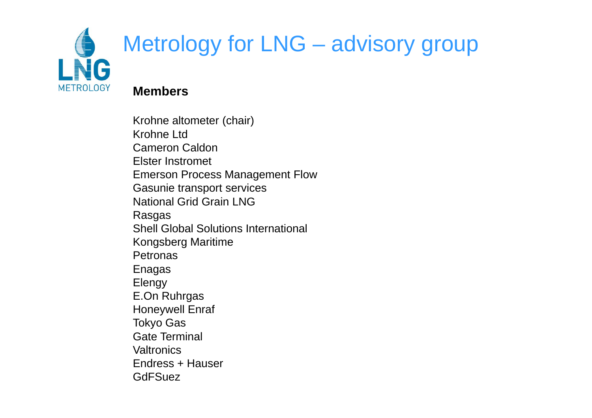

# Metrology for LNG – advisory group

#### **Members**

Krohne altometer (chair) Krohne LtdCameron CaldonElster InstrometEmerson Process Management Flow Gasunie transport services National Grid Grain LNGRasgas Shell Global Solutions International Kongsberg Maritime **Petronas** Enagas Elengy E.On Ruhrgas Honeywell Enraf Tokyo Gas Gate Terminal **Valtronics** Endress + Hauser**GdFSuez**